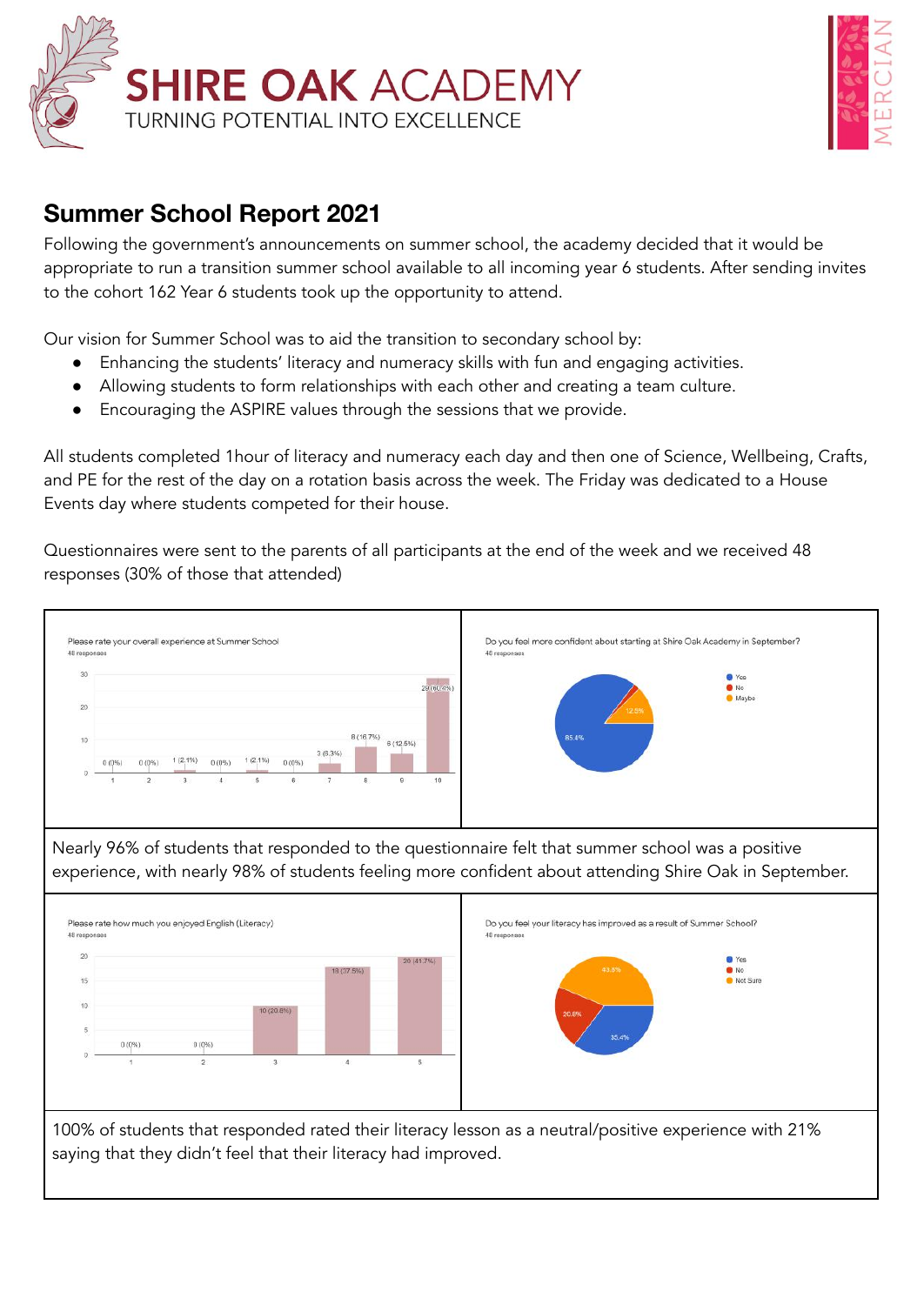



## **Summer School Report 2021**

Following the government's announcements on summer school, the academy decided that it would be appropriate to run a transition summer school available to all incoming year 6 students. After sending invites to the cohort 162 Year 6 students took up the opportunity to attend.

Our vision for Summer School was to aid the transition to secondary school by:

- Enhancing the students' literacy and numeracy skills with fun and engaging activities.
- Allowing students to form relationships with each other and creating a team culture.
- Encouraging the ASPIRE values through the sessions that we provide.

All students completed 1hour of literacy and numeracy each day and then one of Science, Wellbeing, Crafts, and PE for the rest of the day on a rotation basis across the week. The Friday was dedicated to a House Events day where students competed for their house.

Questionnaires were sent to the parents of all participants at the end of the week and we received 48 responses (30% of those that attended)

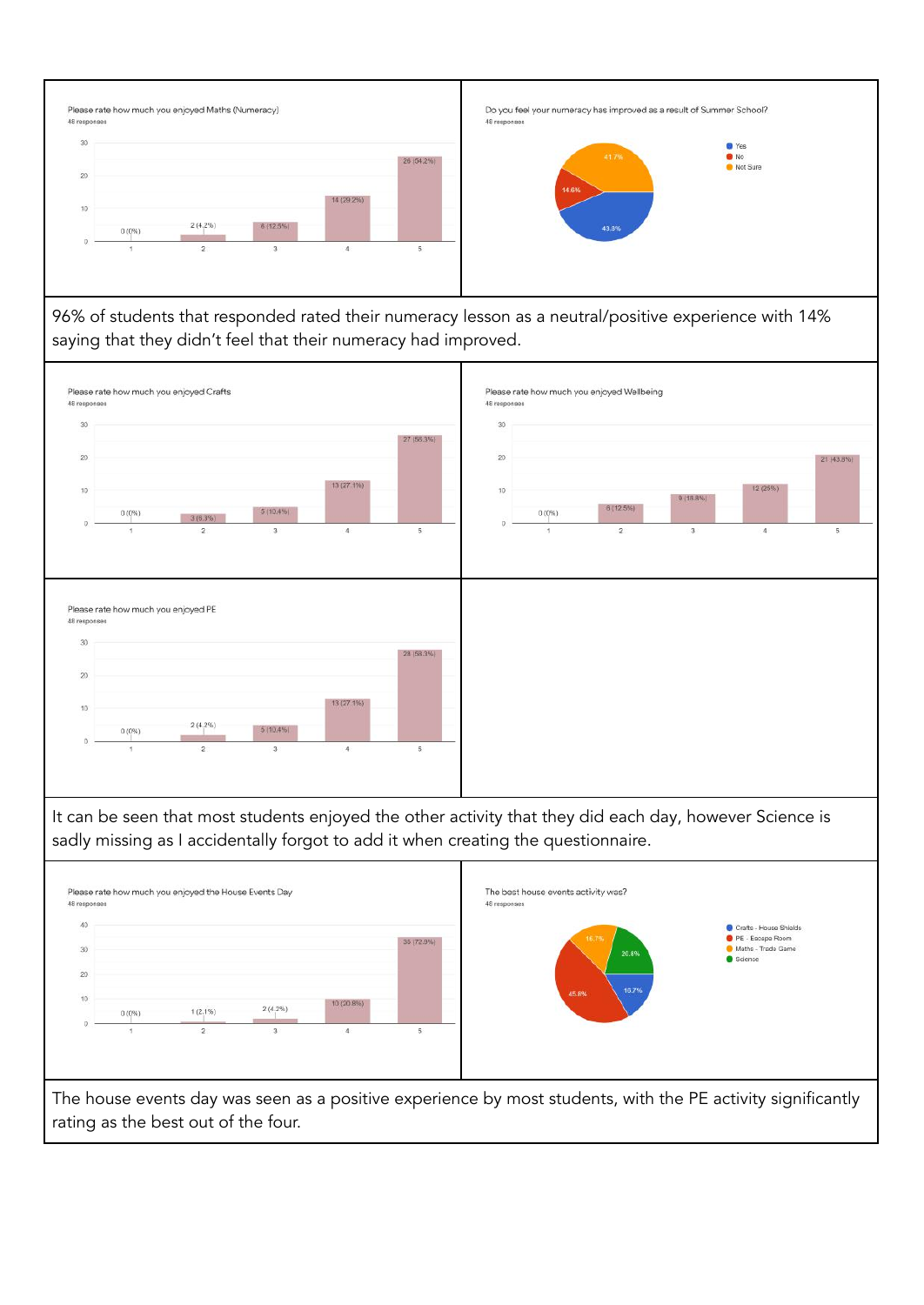

96% of students that responded rated their numeracy lesson as a neutral/positive experience with 14% saying that they didn't feel that their numeracy had improved.